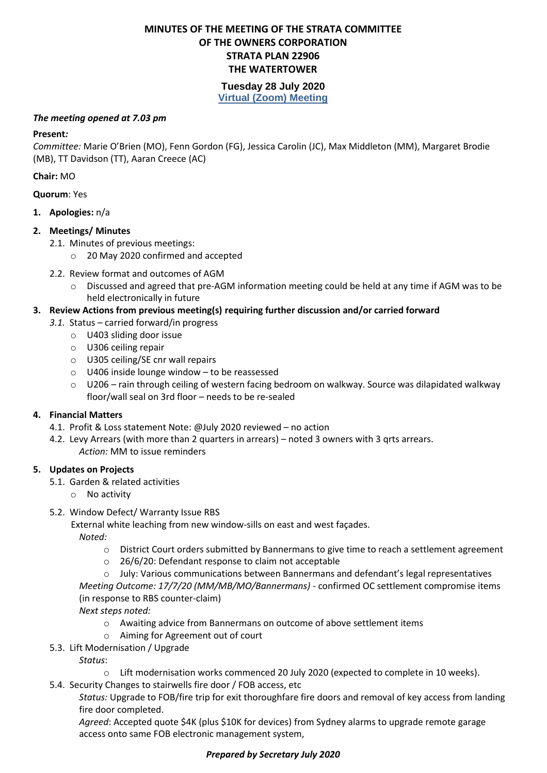### **MINUTES OF THE MEETING OF THE STRATA COMMITTEE OF THE OWNERS CORPORATION STRATA PLAN 22906 THE WATERTOWER**

### **Tuesday 28 July 2020 Virtual (Zoom) Meeting**

#### *The meeting opened at 7.03 pm*

#### **Present***:*

*Committee:* Marie O'Brien (MO), Fenn Gordon (FG), Jessica Carolin (JC), Max Middleton (MM), Margaret Brodie (MB), TT Davidson (TT), Aaran Creece (AC)

### **Chair:** MO

### **Quorum**: Yes

**1. Apologies:** n/a

### **2. Meetings/ Minutes**

- 2.1. Minutes of previous meetings:
	- o 20 May 2020 confirmed and accepted
- 2.2. Review format and outcomes of AGM
	- o Discussed and agreed that pre-AGM information meeting could be held at any time if AGM was to be held electronically in future

### **3. Review Actions from previous meeting(s) requiring further discussion and/or carried forward**

- *3.1.* Status carried forward/in progress
	- o U403 sliding door issue
	- o U306 ceiling repair
	- o U305 ceiling/SE cnr wall repairs
	- o U406 inside lounge window to be reassessed
	- o U206 rain through ceiling of western facing bedroom on walkway. Source was dilapidated walkway floor/wall seal on 3rd floor – needs to be re-sealed

### **4. Financial Matters**

- 4.1. Profit & Loss statement Note: @July 2020 reviewed no action
- 4.2. Levy Arrears (with more than 2 quarters in arrears) noted 3 owners with 3 qrts arrears. *Action:* MM to issue reminders

### **5. Updates on Projects**

- 5.1. Garden & related activities
	- o No activity

### 5.2. Window Defect/ Warranty Issue RBS

External white leaching from new window-sills on east and west façades.

*Noted:* 

- o District Court orders submitted by Bannermans to give time to reach a settlement agreement
- o 26/6/20: Defendant response to claim not acceptable
- $\circ$  July: Various communications between Bannermans and defendant's legal representatives

*Meeting Outcome: 17/7/20 (MM/MB/MO/Bannermans) -* confirmed OC settlement compromise items (in response to RBS counter-claim)

*Next steps noted:*

- o Awaiting advice from Bannermans on outcome of above settlement items
- o Aiming for Agreement out of court
- 5.3. Lift Modernisation / Upgrade

*Status*:

- o Lift modernisation works commenced 20 July 2020 (expected to complete in 10 weeks).
- 5.4. Security Changes to stairwells fire door / FOB access, etc

*Status:* Upgrade to FOB/fire trip for exit thoroughfare fire doors and removal of key access from landing fire door completed.

*Agreed*: Accepted quote \$4K (plus \$10K for devices) from Sydney alarms to upgrade remote garage access onto same FOB electronic management system,

## *Prepared by Secretary July 2020*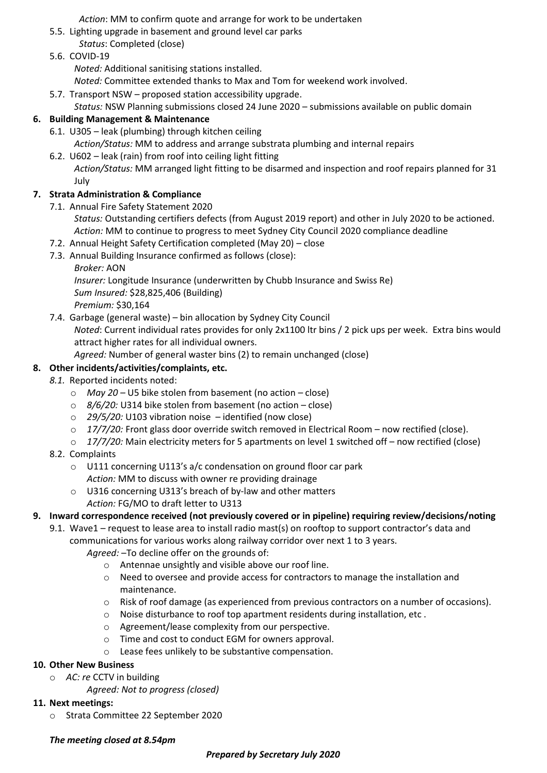*Action*: MM to confirm quote and arrange for work to be undertaken

- 5.5. Lighting upgrade in basement and ground level car parks
- *Status*: Completed (close)
- 5.6. COVID-19

*Noted:* Additional sanitising stations installed.

- *Noted:* Committee extended thanks to Max and Tom for weekend work involved.
- 5.7. Transport NSW proposed station accessibility upgrade. *Status:* NSW Planning submissions closed 24 June 2020 – submissions available on public domain

## **6. Building Management & Maintenance**

6.1. U305 – leak (plumbing) through kitchen ceiling *Action/Status:* MM to address and arrange substrata plumbing and internal repairs

6.2. U602 – leak (rain) from roof into ceiling light fitting *Action/Status:* MM arranged light fitting to be disarmed and inspection and roof repairs planned for 31 July

## **7. Strata Administration & Compliance**

- 7.1. Annual Fire Safety Statement 2020
	- *Status:* Outstanding certifiers defects (from August 2019 report) and other in July 2020 to be actioned. *Action:* MM to continue to progress to meet Sydney City Council 2020 compliance deadline
- 7.2. Annual Height Safety Certification completed (May 20) close

7.3. Annual Building Insurance confirmed as follows (close):

*Broker:* AON

*Insurer:* Longitude Insurance (underwritten by Chubb Insurance and Swiss Re) *Sum Insured:* \$28,825,406 (Building) *Premium:* \$30,164

- 7.4. Garbage (general waste) bin allocation by Sydney City Council *Noted*: Current individual rates provides for only 2x1100 ltr bins / 2 pick ups per week. Extra bins would attract higher rates for all individual owners. *Agreed:* Number of general waster bins (2) to remain unchanged (close)
- **8. Other incidents/activities/complaints, etc.**

## *8.1.* Reported incidents noted:

- o *May 20 –* U5 bike stolen from basement (no action close)
- o *8/6/20:* U314 bike stolen from basement (no action close)
- o *29/5/20:* U103 vibration noise identified (now close)
- o *17/7/20:* Front glass door override switch removed in Electrical Room now rectified (close).
- o *17/7/20:* Main electricity meters for 5 apartments on level 1 switched off now rectified (close)
- 8.2. Complaints
	- o U111 concerning U113's a/c condensation on ground floor car park *Action:* MM to discuss with owner re providing drainage
	- o U316 concerning U313's breach of by-law and other matters *Action:* FG/MO to draft letter to U313

# **9. Inward correspondence received (not previously covered or in pipeline) requiring review/decisions/noting**

- 9.1. Wave1 request to lease area to install radio mast(s) on rooftop to support contractor's data and communications for various works along railway corridor over next 1 to 3 years.
	- *Agreed:* –To decline offer on the grounds of:
		- o Antennae unsightly and visible above our roof line.
		- o Need to oversee and provide access for contractors to manage the installation and maintenance.
		- o Risk of roof damage (as experienced from previous contractors on a number of occasions).
		- o Noise disturbance to roof top apartment residents during installation, etc .
		- o Agreement/lease complexity from our perspective.
		- o Time and cost to conduct EGM for owners approval.
		- o Lease fees unlikely to be substantive compensation.

# **10. Other New Business**

- o *AC: re* CCTV in building
	- *Agreed: Not to progress (closed)*

# **11. Next meetings:**

o Strata Committee 22 September 2020

# *The meeting closed at 8.54pm*

# *Prepared by Secretary July 2020*